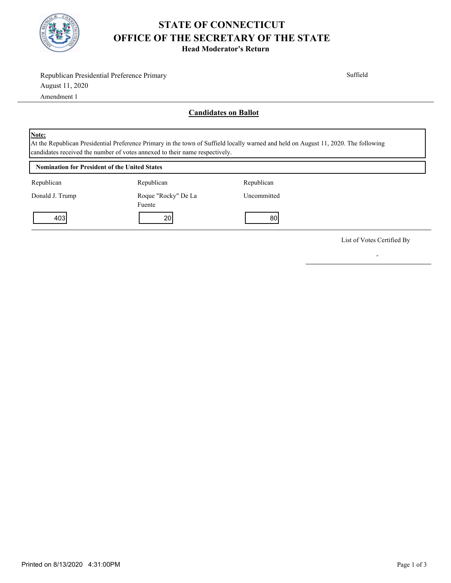

## **STATE OF CONNECTICUT OFFICE OF THE SECRETARY OF THE STATE**

**Head Moderator's Return**

| Republican Presidential Preference Primary                           |                                                                             | Suffield                                                                                                                            |  |  |
|----------------------------------------------------------------------|-----------------------------------------------------------------------------|-------------------------------------------------------------------------------------------------------------------------------------|--|--|
| August 11, 2020                                                      |                                                                             |                                                                                                                                     |  |  |
| Amendment 1                                                          |                                                                             |                                                                                                                                     |  |  |
|                                                                      |                                                                             | <b>Candidates on Ballot</b>                                                                                                         |  |  |
| <b>Note:</b><br><b>Nomination for President of the United States</b> | candidates received the number of votes annexed to their name respectively. | At the Republican Presidential Preference Primary in the town of Suffield locally warned and held on August 11, 2020. The following |  |  |
|                                                                      |                                                                             |                                                                                                                                     |  |  |
| Republican                                                           | Republican                                                                  | Republican                                                                                                                          |  |  |
| Donald J. Trump                                                      | Roque "Rocky" De La<br>Fuente                                               | Uncommitted                                                                                                                         |  |  |
| 403                                                                  | 20                                                                          | 80                                                                                                                                  |  |  |
|                                                                      |                                                                             |                                                                                                                                     |  |  |

List of Votes Certified By

-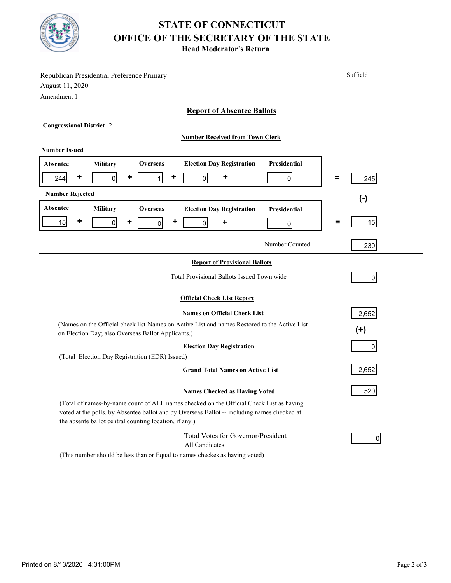

## **STATE OF CONNECTICUT OFFICE OF THE SECRETARY OF THE STATE**

**Head Moderator's Return**

| Republican Presidential Preference Primary<br>August 11, 2020<br>Amendment 1                                                                                                                                                                     | Suffield        |  |  |  |
|--------------------------------------------------------------------------------------------------------------------------------------------------------------------------------------------------------------------------------------------------|-----------------|--|--|--|
| <b>Report of Absentee Ballots</b>                                                                                                                                                                                                                |                 |  |  |  |
| <b>Congressional District 2</b>                                                                                                                                                                                                                  |                 |  |  |  |
| <b>Number Received from Town Clerk</b>                                                                                                                                                                                                           |                 |  |  |  |
| <b>Number Issued</b>                                                                                                                                                                                                                             |                 |  |  |  |
| Presidential<br><b>Election Day Registration</b><br>Military<br>Absentee<br>Overseas                                                                                                                                                             |                 |  |  |  |
| ٠<br>٠<br>٠<br>٠<br>244<br>$\overline{0}$<br>$\mathbf{1}$<br>$\overline{0}$<br>$\overline{0}$                                                                                                                                                    | $\equiv$<br>245 |  |  |  |
| <b>Number Rejected</b><br>$(-)$                                                                                                                                                                                                                  |                 |  |  |  |
| Absentee<br>Military<br><b>Overseas</b><br><b>Election Day Registration</b><br>Presidential                                                                                                                                                      |                 |  |  |  |
| ٠<br>٠<br>15<br>٠<br>$\overline{0}$<br>0<br>$\overline{0}$<br>۰<br>$\overline{0}$                                                                                                                                                                | 15<br>=         |  |  |  |
| Number Counted                                                                                                                                                                                                                                   | 230             |  |  |  |
| <b>Report of Provisional Ballots</b>                                                                                                                                                                                                             |                 |  |  |  |
| Total Provisional Ballots Issued Town wide                                                                                                                                                                                                       | $\overline{0}$  |  |  |  |
| <b>Official Check List Report</b>                                                                                                                                                                                                                |                 |  |  |  |
| <b>Names on Official Check List</b>                                                                                                                                                                                                              | 2,652           |  |  |  |
| (Names on the Official check list-Names on Active List and names Restored to the Active List<br>on Election Day; also Overseas Ballot Applicants.)                                                                                               | $(+)$           |  |  |  |
| <b>Election Day Registration</b>                                                                                                                                                                                                                 | 0               |  |  |  |
| (Total Election Day Registration (EDR) Issued)                                                                                                                                                                                                   |                 |  |  |  |
| <b>Grand Total Names on Active List</b>                                                                                                                                                                                                          | 2,652           |  |  |  |
| <b>Names Checked as Having Voted</b>                                                                                                                                                                                                             | 520             |  |  |  |
| (Total of names-by-name count of ALL names checked on the Official Check List as having<br>voted at the polls, by Absentee ballot and by Overseas Ballot -- including names checked at<br>the absente ballot central counting location, if any.) |                 |  |  |  |
| Total Votes for Governor/President<br>All Candidates                                                                                                                                                                                             | 0               |  |  |  |
| (This number should be less than or Equal to names checkes as having voted)                                                                                                                                                                      |                 |  |  |  |